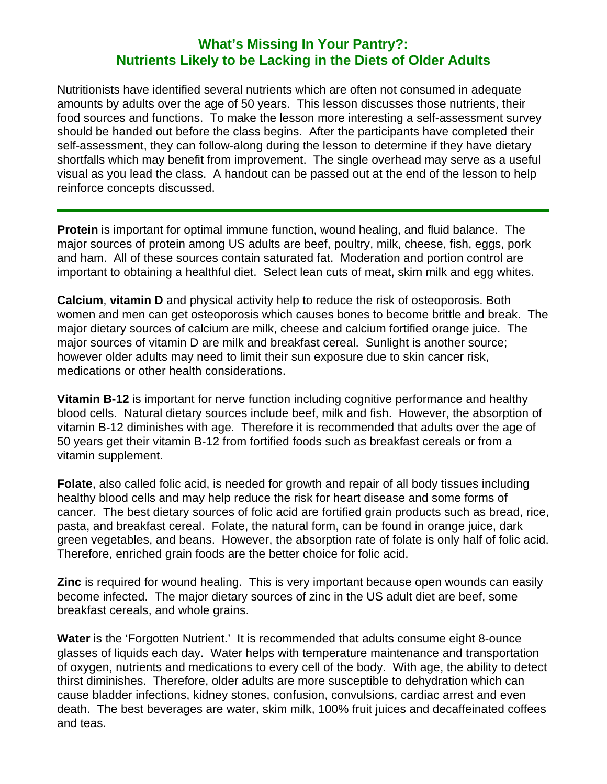## **What's Missing In Your Pantry?: Nutrients Likely to be Lacking in the Diets of Older Adults**

Nutritionists have identified several nutrients which are often not consumed in adequate amounts by adults over the age of 50 years. This lesson discusses those nutrients, their food sources and functions. To make the lesson more interesting a self-assessment survey should be handed out before the class begins. After the participants have completed their self-assessment, they can follow-along during the lesson to determine if they have dietary shortfalls which may benefit from improvement. The single overhead may serve as a useful visual as you lead the class. A handout can be passed out at the end of the lesson to help reinforce concepts discussed.

**Protein** is important for optimal immune function, wound healing, and fluid balance. The major sources of protein among US adults are beef, poultry, milk, cheese, fish, eggs, pork and ham. All of these sources contain saturated fat. Moderation and portion control are important to obtaining a healthful diet. Select lean cuts of meat, skim milk and egg whites.

**Calcium**, **vitamin D** and physical activity help to reduce the risk of osteoporosis. Both women and men can get osteoporosis which causes bones to become brittle and break. The major dietary sources of calcium are milk, cheese and calcium fortified orange juice. The major sources of vitamin D are milk and breakfast cereal. Sunlight is another source; however older adults may need to limit their sun exposure due to skin cancer risk, medications or other health considerations.

**Vitamin B-12** is important for nerve function including cognitive performance and healthy blood cells. Natural dietary sources include beef, milk and fish. However, the absorption of vitamin B-12 diminishes with age. Therefore it is recommended that adults over the age of 50 years get their vitamin B-12 from fortified foods such as breakfast cereals or from a vitamin supplement.

**Folate**, also called folic acid, is needed for growth and repair of all body tissues including healthy blood cells and may help reduce the risk for heart disease and some forms of cancer. The best dietary sources of folic acid are fortified grain products such as bread, rice, pasta, and breakfast cereal. Folate, the natural form, can be found in orange juice, dark green vegetables, and beans. However, the absorption rate of folate is only half of folic acid. Therefore, enriched grain foods are the better choice for folic acid.

**Zinc** is required for wound healing. This is very important because open wounds can easily become infected. The major dietary sources of zinc in the US adult diet are beef, some breakfast cereals, and whole grains.

**Water** is the 'Forgotten Nutrient.' It is recommended that adults consume eight 8-ounce glasses of liquids each day. Water helps with temperature maintenance and transportation of oxygen, nutrients and medications to every cell of the body. With age, the ability to detect thirst diminishes. Therefore, older adults are more susceptible to dehydration which can cause bladder infections, kidney stones, confusion, convulsions, cardiac arrest and even death. The best beverages are water, skim milk, 100% fruit juices and decaffeinated coffees and teas.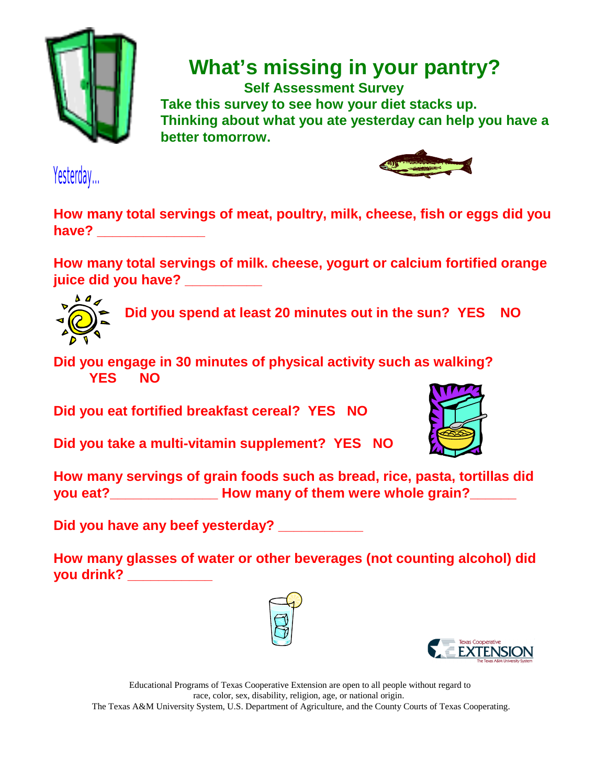

 **What's missing in your pantry?**

 **Self Assessment Survey Take this survey to see how your diet stacks up. Thinking about what you ate yesterday can help you have a better tomorrow.**

Yesterday...



**How many total servings of meat, poultry, milk, cheese, fish or eggs did you have? \_\_\_\_\_\_\_\_\_\_\_\_\_\_**

**How many total servings of milk. cheese, yogurt or calcium fortified orange juice did you have? \_\_\_\_\_\_\_\_\_\_**



**Did you spend at least 20 minutes out in the sun? YES NO**

**Did you engage in 30 minutes of physical activity such as walking? YES NO**

**Did you eat fortified breakfast cereal? YES NO**

**Did you take a multi-vitamin supplement? YES NO**



**How many servings of grain foods such as bread, rice, pasta, tortillas did you eat?\_\_\_\_\_\_\_\_\_\_\_\_\_\_ How many of them were whole grain?\_\_\_\_\_\_**

**Did you have any beef yesterday? \_\_\_\_\_\_\_\_\_\_\_**

**How many glasses of water or other beverages (not counting alcohol) did you drink? \_\_\_\_\_\_\_\_\_\_\_** 





Educational Programs of Texas Cooperative Extension are open to all people without regard to race, color, sex, disability, religion, age, or national origin. The Texas A&M University System, U.S. Department of Agriculture, and the County Courts of Texas Cooperating.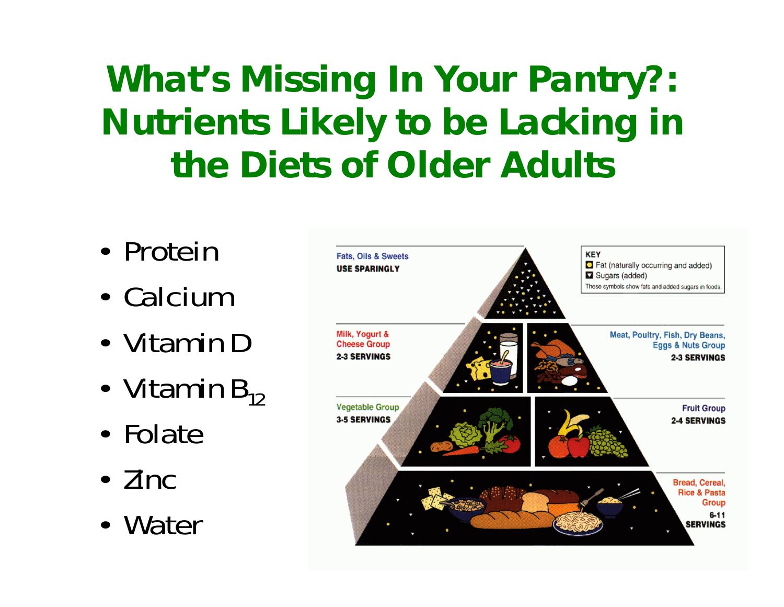## **What's Missing In Your Pantry?: Nutrients Likely to be Lacking in the Diets of Older Adults**

- Protein
- Calcium
- Vitamin D
- •Vitamin  $\mathsf{B}_{12}^{}$
- Folate
- Zinc
- Water